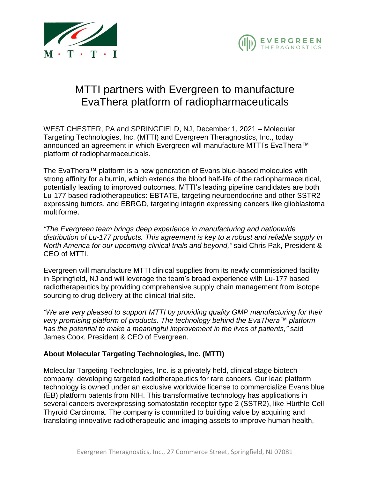



## MTTI partners with Evergreen to manufacture EvaThera platform of radiopharmaceuticals

WEST CHESTER, PA and SPRINGFIELD, NJ, December 1, 2021 – Molecular Targeting Technologies, Inc. (MTTI) and Evergreen Theragnostics, Inc., today announced an agreement in which Evergreen will manufacture MTTI's EvaThera™ platform of radiopharmaceuticals.

The EvaThera™ platform is a new generation of Evans blue-based molecules with strong affinity for albumin, which extends the blood half-life of the radiopharmaceutical, potentially leading to improved outcomes. MTTI's leading pipeline candidates are both Lu-177 based radiotherapeutics: EBTATE, targeting neuroendocrine and other SSTR2 expressing tumors, and EBRGD, targeting integrin expressing cancers like glioblastoma multiforme.

*"The Evergreen team brings deep experience in manufacturing and nationwide distribution of Lu-177 products. This agreement is key to a robust and reliable supply in North America for our upcoming clinical trials and beyond,"* said Chris Pak, President & CEO of MTTI.

Evergreen will manufacture MTTI clinical supplies from its newly commissioned facility in Springfield, NJ and will leverage the team's broad experience with Lu-177 based radiotherapeutics by providing comprehensive supply chain management from isotope sourcing to drug delivery at the clinical trial site.

*"We are very pleased to support MTTI by providing quality GMP manufacturing for their very promising platform of products. The technology behind the EvaThera™ platform has the potential to make a meaningful improvement in the lives of patients,"* said James Cook, President & CEO of Evergreen.

## **About Molecular Targeting Technologies, Inc. (MTTI)**

Molecular Targeting Technologies, Inc. is a privately held, clinical stage biotech company, developing targeted radiotherapeutics for rare cancers. Our lead platform technology is owned under an exclusive worldwide license to commercialize Evans blue (EB) platform patents from NIH. This transformative technology has applications in several cancers overexpressing somatostatin receptor type 2 (SSTR2), like Hürthle Cell Thyroid Carcinoma. The company is committed to building value by acquiring and translating innovative radiotherapeutic and imaging assets to improve human health,